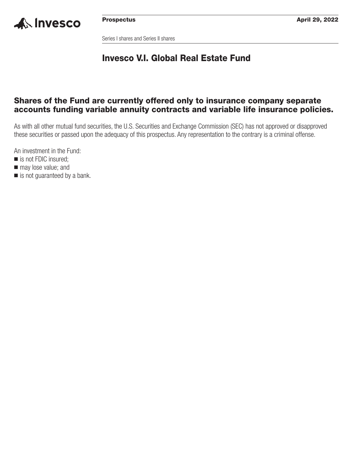

Series I shares and Series II shares

# **Invesco V.I. Global Real Estate Fund**

## **Shares of the Fund are currently offered only to insurance company separate accounts funding variable annuity contracts and variable life insurance policies.**

As with all other mutual fund securities, the U.S. Securities and Exchange Commission (SEC) has not approved or disapproved these securities or passed upon the adequacy of this prospectus. Any representation to the contrary is a criminal offense.

An investment in the Fund:

- is not FDIC insured;
- $\blacksquare$  may lose value; and
- is not guaranteed by a bank.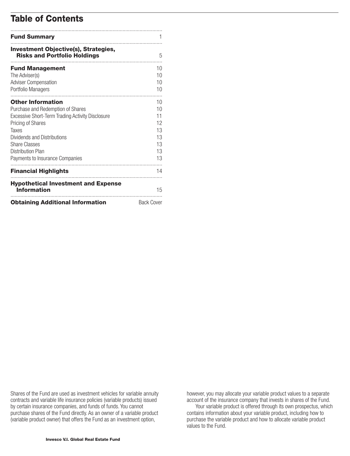# **Table of Contents**

| <b>Fund Summary</b>                                                                                                                                                                                                                                                               |                                                    |
|-----------------------------------------------------------------------------------------------------------------------------------------------------------------------------------------------------------------------------------------------------------------------------------|----------------------------------------------------|
| <b>Investment Objective(s), Strategies,</b><br><b>Risks and Portfolio Holdings</b>                                                                                                                                                                                                | 5                                                  |
| <b>Fund Management</b><br>The Adviser(s)<br><b>Adviser Compensation</b><br>Portfolio Managers                                                                                                                                                                                     | 10<br>10<br>10<br>10                               |
| <b>Other Information</b><br>Purchase and Redemption of Shares<br><b>Excessive Short-Term Trading Activity Disclosure</b><br>Pricing of Shares<br>Taxes<br>Dividends and Distributions<br><b>Share Classes</b><br><b>Distribution Plan</b><br>Payments to Insurance Companies<br>. | 10<br>10<br>11<br>12<br>13<br>13<br>13<br>13<br>13 |
| <b>Financial Highlights</b>                                                                                                                                                                                                                                                       | 14                                                 |
| <b>Hypothetical Investment and Expense</b><br><b>Information</b>                                                                                                                                                                                                                  | 15                                                 |
| <b>Obtaining Additional Information</b>                                                                                                                                                                                                                                           | <b>Back Cover</b>                                  |

Shares of the Fund are used as investment vehicles for variable annuity contracts and variable life insurance policies (variable products) issued by certain insurance companies, and funds of funds. You cannot purchase shares of the Fund directly. As an owner of a variable product (variable product owner) that offers the Fund as an investment option,

however, you may allocate your variable product values to a separate account of the insurance company that invests in shares of the Fund.

Your variable product is offered through its own prospectus, which contains information about your variable product, including how to purchase the variable product and how to allocate variable product values to the Fund.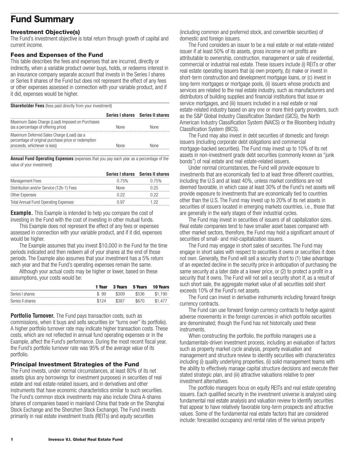# <span id="page-2-0"></span>**Fund Summary**

### **Investment Objective(s)**

The Fund's investment objective is total return through growth of capital and current income.

### **Fees and Expenses of the Fund**

This table describes the fees and expenses that are incurred, directly or indirectly, when a variable product owner buys, holds, or redeems interest in an insurance company separate account that invests in the Series I shares or Series II shares of the Fund but does not represent the effect of any fees or other expenses assessed in connection with your variable product, and if it did, expenses would be higher.

**Shareholder Fees** (fees paid directly from your investment)

|                                                                                                                                   |             | Series I shares Series II shares |
|-----------------------------------------------------------------------------------------------------------------------------------|-------------|----------------------------------|
| Maximum Sales Charge (Load) Imposed on Purchases<br>(as a percentage of offering price)                                           | <b>None</b> | <b>None</b>                      |
| Maximum Deferred Sales Charge (Load) (as a<br>percentage of original purchase price or redemption<br>proceeds, whichever is less) | None        | None                             |

**Annual Fund Operating Expenses** (expenses that you pay each year as a percentage of the value of your investment)

|                                             |       | Series I shares Series II shares |
|---------------------------------------------|-------|----------------------------------|
| Management Fees                             | በ 75% | በ 75%                            |
| Distribution and/or Service (12b-1) Fees    | None  | በ 25                             |
| Other Expenses                              |       | ገ 99                             |
| <b>Total Annual Fund Operating Expenses</b> | N 97  | 1 22                             |

**Example.** This Example is intended to help you compare the cost of investing in the Fund with the cost of investing in other mutual funds.

This Example does not represent the effect of any fees or expenses assessed in connection with your variable product, and if it did, expenses would be higher.

The Example assumes that you invest \$10,000 in the Fund for the time periods indicated and then redeem all of your shares at the end of those periods. The Example also assumes that your investment has a 5% return each year and that the Fund's operating expenses remain the same.

Although your actual costs may be higher or lower, based on these assumptions, your costs would be:

|                  | 1 Year | 3 Years | 5 Years | <b>10 Years</b> |
|------------------|--------|---------|---------|-----------------|
| Series I shares  | \$99   | \$309   | \$536   | \$1.190         |
| Series II shares | \$124  | \$387   | \$670   | \$1.477         |

**Portfolio Turnover.** The Fund pays transaction costs, such as commissions, when it buys and sells securities (or "turns over" its portfolio). A higher portfolio turnover rate may indicate higher transaction costs. These costs, which are not reflected in annual fund operating expenses or in the Example, affect the Fund's performance. During the most recent fiscal year, the Fund's portfolio turnover rate was 95% of the average value of its portfolio.

### **Principal Investment Strategies of the Fund**

The Fund invests, under normal circumstances, at least 80% of its net assets (plus any borrowings for investment purposes) in securities of real estate and real estate-related issuers, and in derivatives and other instruments that have economic characteristics similar to such securities. The Fund's common stock investments may also include China A-shares (shares of companies based in mainland China that trade on the Shanghai Stock Exchange and the Shenzhen Stock Exchange). The Fund invests primarily in real estate investment trusts (REITs) and equity securities

(including common and preferred stock, and convertible securities) of domestic and foreign issuers.

The Fund considers an issuer to be a real estate or real estate-related issuer if at least 50% of its assets, gross income or net profits are attributable to ownership, construction, management or sale of residential, commercial or industrial real estate. These issuers include (i) REITs or other real estate operating issuers that (a) own property, (b) make or invest in short-term construction and development mortgage loans, or (c) invest in long-term mortgages or mortgage pools, (ii) issuers whose products and services are related to the real estate industry, such as manufacturers and distributors of building supplies and financial institutions that issue or service mortgages, and (iii) issuers included in a real estate or real estate-related industry based on any one or more third-party providers, such as the S&P Global Industry Classification Standard (GICS), the North American Industry Classification System (NAICS) or the Bloomberg Industry Classification System (BICS).

The Fund may also invest in debt securities of domestic and foreign issuers (including corporate debt obligations and commercial mortgage-backed securities). The Fund may invest up to 10% of its net assets in non-investment grade debt securities (commonly known as "junk bonds") of real estate and real estate-related issuers.

Under normal circumstances, the Fund will provide exposure to investments that are economically tied to at least three different countries, including the U.S and at least 40%, unless market conditions are not deemed favorable, in which case at least 30% of the Fund's net assets will provide exposure to investments that are economically tied to countries other than the U.S. The Fund may invest up to 20% of its net assets in securities of issuers located in emerging markets countries, i.e., those that are generally in the early stages of their industrial cycles.

The Fund may invest in securities of issuers of all capitalization sizes. Real estate companies tend to have smaller asset bases compared with other market sectors, therefore, the Fund may hold a significant amount of securities of small- and mid-capitalization issuers.

The Fund may engage in short sales of securities. The Fund may engage in short sales with respect to securities it owns or securities it does not own. Generally, the Fund will sell a security short to (1) take advantage of an expected decline in the security price in anticipation of purchasing the same security at a later date at a lower price, or (2) to protect a profit in a security that it owns. The Fund will not sell a security short if, as a result of such short sale, the aggregate market value of all securities sold short exceeds 10% of the Fund's net assets.

The Fund can invest in derivative instruments including forward foreign currency contracts.

The Fund can use forward foreign currency contracts to hedge against adverse movements in the foreign currencies in which portfolio securities are denominated; though the Fund has not historically used these instruments.

When constructing the portfolio, the portfolio managers use a fundamentals-driven investment process, including an evaluation of factors such as property market cycle analysis, property evaluation and management and structure review to identify securities with characteristics including (i) quality underlying properties, (ii) solid management teams with the ability to effectively manage capital structure decisions and execute their stated strategic plan, and (iii) attractive valuations relative to peer investment alternatives.

The portfolio managers focus on equity REITs and real estate operating issuers. Each qualified security in the investment universe is analyzed using fundamental real estate analysis and valuation review to identify securities that appear to have relatively favorable long-term prospects and attractive values. Some of the fundamental real estate factors that are considered include: forecasted occupancy and rental rates of the various property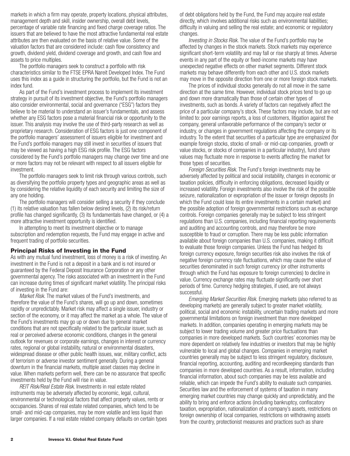markets in which a firm may operate, property locations, physical attributes, management depth and skill, insider ownership, overall debt levels, percentage of variable rate financing and fixed charge coverage ratios. The issuers that are believed to have the most attractive fundamental real estate attributes are then evaluated on the basis of relative value. Some of the valuation factors that are considered include: cash flow consistency and growth, dividend yield, dividend coverage and growth, and cash flow and assets to price multiples.

The portfolio managers seek to construct a portfolio with risk characteristics similar to the FTSE EPRA Nareit Developed Index. The Fund uses this index as a guide in structuring the portfolio, but the Fund is not an index fund.

As part of the Fund's investment process to implement its investment strategy in pursuit of its investment objective, the Fund's portfolio managers also consider environmental, social and governance ("ESG") factors they believe to be material to understand an issuer's fundamentals, and assess whether any ESG factors pose a material financial risk or opportunity to the issuer. This analysis may involve the use of third-party research as well as proprietary research. Consideration of ESG factors is just one component of the portfolio managers' assessment of issuers eligible for investment and the Fund's portfolio managers may still invest in securities of issuers that may be viewed as having a high ESG risk profile. The ESG factors considered by the Fund's portfolio managers may change over time and one or more factors may not be relevant with respect to all issuers eligible for investment.

The portfolio managers seek to limit risk through various controls, such as diversifying the portfolio property types and geographic areas as well as by considering the relative liquidity of each security and limiting the size of any one holding.

The portfolio managers will consider selling a security if they conclude (1) its relative valuation has fallen below desired levels, (2) its risk/return profile has changed significantly, (3) its fundamentals have changed, or (4) a more attractive investment opportunity is identified.

In attempting to meet its investment objective or to manage subscription and redemption requests, the Fund may engage in active and frequent trading of portfolio securities.

#### **Principal Risks of Investing in the Fund**

As with any mutual fund investment, loss of money is a risk of investing. An investment in the Fund is not a deposit in a bank and is not insured or guaranteed by the Federal Deposit Insurance Corporation or any other governmental agency. The risks associated with an investment in the Fund can increase during times of significant market volatility. The principal risks of investing in the Fund are:

*Market Risk.* The market values of the Fund's investments, and therefore the value of the Fund's shares, will go up and down, sometimes rapidly or unpredictably. Market risk may affect a single issuer, industry or section of the economy, or it may affect the market as a whole. The value of the Fund's investments may go up or down due to general market conditions that are not specifically related to the particular issuer, such as real or perceived adverse economic conditions, changes in the general outlook for revenues or corporate earnings, changes in interest or currency rates, regional or global instability, natural or environmental disasters, widespread disease or other public health issues, war, military conflict, acts of terrorism or adverse investor sentiment generally. During a general downturn in the financial markets, multiple asset classes may decline in value. When markets perform well, there can be no assurance that specific investments held by the Fund will rise in value.

*REIT Risk/Real Estate Risk.* Investments in real estate related instruments may be adversely affected by economic, legal, cultural, environmental or technological factors that affect property values, rents or occupancies. Shares of real estate related companies, which tend to be small- and mid-cap companies, may be more volatile and less liquid than larger companies. If a real estate related company defaults on certain types of debt obligations held by the Fund, the Fund may acquire real estate directly, which involves additional risks such as environmental liabilities; difficulty in valuing and selling the real estate; and economic or regulatory changes.

*Investing in Stocks Risk.* The value of the Fund's portfolio may be affected by changes in the stock markets. Stock markets may experience significant short-term volatility and may fall or rise sharply at times. Adverse events in any part of the equity or fixed-income markets may have unexpected negative effects on other market segments. Different stock markets may behave differently from each other and U.S. stock markets may move in the opposite direction from one or more foreign stock markets.

The prices of individual stocks generally do not all move in the same direction at the same time. However, individual stock prices tend to go up and down more dramatically than those of certain other types of investments, such as bonds. A variety of factors can negatively affect the price of a particular company's stock. These factors may include, but are not limited to: poor earnings reports, a loss of customers, litigation against the company, general unfavorable performance of the company's sector or industry, or changes in government regulations affecting the company or its industry. To the extent that securities of a particular type are emphasized (for example foreign stocks, stocks of small- or mid-cap companies, growth or value stocks, or stocks of companies in a particular industry), fund share values may fluctuate more in response to events affecting the market for those types of securities.

*Foreign Securities Risk.* The Fund's foreign investments may be adversely affected by political and social instability, changes in economic or taxation policies, difficulty in enforcing obligations, decreased liquidity or increased volatility. Foreign investments also involve the risk of the possible seizure, nationalization or expropriation of the issuer or foreign deposits (in which the Fund could lose its entire investments in a certain market) and the possible adoption of foreign governmental restrictions such as exchange controls. Foreign companies generally may be subject to less stringent regulations than U.S. companies, including financial reporting requirements and auditing and accounting controls, and may therefore be more susceptible to fraud or corruption. There may be less public information available about foreign companies than U.S. companies, making it difficult to evaluate those foreign companies. Unless the Fund has hedged its foreign currency exposure, foreign securities risk also involves the risk of negative foreign currency rate fluctuations, which may cause the value of securities denominated in such foreign currency (or other instruments through which the Fund has exposure to foreign currencies) to decline in value. Currency exchange rates may fluctuate significantly over short periods of time. Currency hedging strategies, if used, are not always successful.

*Emerging Market Securities Risk.* Emerging markets (also referred to as developing markets) are generally subject to greater market volatility, political, social and economic instability, uncertain trading markets and more governmental limitations on foreign investment than more developed markets. In addition, companies operating in emerging markets may be subject to lower trading volume and greater price fluctuations than companies in more developed markets. Such countries' economies may be more dependent on relatively few industries or investors that may be highly vulnerable to local and global changes. Companies in emerging market countries generally may be subject to less stringent regulatory, disclosure, financial reporting, accounting, auditing and recordkeeping standards than companies in more developed countries. As a result, information, including financial information, about such companies may be less available and reliable, which can impede the Fund's ability to evaluate such companies. Securities law and the enforcement of systems of taxation in many emerging market countries may change quickly and unpredictably, and the ability to bring and enforce actions (including bankruptcy, confiscatory taxation, expropriation, nationalization of a company's assets, restrictions on foreign ownership of local companies, restrictions on withdrawing assets from the country, protectionist measures and practices such as share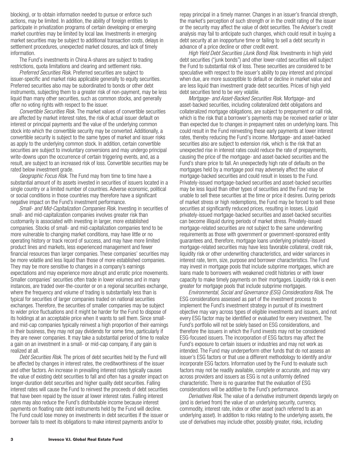blocking), or to obtain information needed to pursue or enforce such actions, may be limited. In addition, the ability of foreign entities to participate in privatization programs of certain developing or emerging market countries may be limited by local law. Investments in emerging market securities may be subject to additional transaction costs, delays in settlement procedures, unexpected market closures, and lack of timely information.

The Fund's investments in China A-shares are subject to trading restrictions, quota limitations and clearing and settlement risks.

*Preferred Securities Risk.* Preferred securities are subject to issuer-specific and market risks applicable generally to equity securities. Preferred securities also may be subordinated to bonds or other debt instruments, subjecting them to a greater risk of non-payment, may be less liquid than many other securities, such as common stocks, and generally offer no voting rights with respect to the issuer.

*Convertible Securities Risk.* The market values of convertible securities are affected by market interest rates, the risk of actual issuer default on interest or principal payments and the value of the underlying common stock into which the convertible security may be converted. Additionally, a convertible security is subject to the same types of market and issuer risks as apply to the underlying common stock. In addition, certain convertible securities are subject to involuntary conversions and may undergo principal write-downs upon the occurrence of certain triggering events, and, as a result, are subject to an increased risk of loss. Convertible securities may be rated below investment grade.

*Geographic Focus Risk.* The Fund may from time to time have a substantial amount of its assets invested in securities of issuers located in a single country or a limited number of countries. Adverse economic, political or social conditions in those countries may therefore have a significant negative impact on the Fund's investment performance.

*Small- and Mid-Capitalization Companies Risk.* Investing in securities of small- and mid-capitalization companies involves greater risk than customarily is associated with investing in larger, more established companies. Stocks of small- and mid-capitalization companies tend to be more vulnerable to changing market conditions, may have little or no operating history or track record of success, and may have more limited product lines and markets, less experienced management and fewer financial resources than larger companies. These companies' securities may be more volatile and less liquid than those of more established companies. They may be more sensitive to changes in a company's earnings expectations and may experience more abrupt and erratic price movements. Smaller companies' securities often trade in lower volumes and in many instances, are traded over-the-counter or on a regional securities exchange, where the frequency and volume of trading is substantially less than is typical for securities of larger companies traded on national securities exchanges. Therefore, the securities of smaller companies may be subject to wider price fluctuations and it might be harder for the Fund to dispose of its holdings at an acceptable price when it wants to sell them. Since smalland mid-cap companies typically reinvest a high proportion of their earnings in their business, they may not pay dividends for some time, particularly if they are newer companies. It may take a substantial period of time to realize a gain on an investment in a small- or mid-cap company, if any gain is realized at all.

*Debt Securities Risk.* The prices of debt securities held by the Fund will be affected by changes in interest rates, the creditworthiness of the issuer and other factors. An increase in prevailing interest rates typically causes the value of existing debt securities to fall and often has a greater impact on longer-duration debt securities and higher quality debt securities. Falling interest rates will cause the Fund to reinvest the proceeds of debt securities that have been repaid by the issuer at lower interest rates. Falling interest rates may also reduce the Fund's distributable income because interest payments on floating rate debt instruments held by the Fund will decline. The Fund could lose money on investments in debt securities if the issuer or borrower fails to meet its obligations to make interest payments and/or to

repay principal in a timely manner. Changes in an issuer's financial strength, the market's perception of such strength or in the credit rating of the issuer or the security may affect the value of debt securities. The Adviser's credit analysis may fail to anticipate such changes, which could result in buying a debt security at an inopportune time or failing to sell a debt security in advance of a price decline or other credit event.

*High Yield Debt Securities (Junk Bond) Risk.* Investments in high yield debt securities ("junk bonds") and other lower-rated securities will subject the Fund to substantial risk of loss. These securities are considered to be speculative with respect to the issuer's ability to pay interest and principal when due, are more susceptible to default or decline in market value and are less liquid than investment grade debt securities. Prices of high yield debt securities tend to be very volatile.

*Mortgage- and Asset-Backed Securities Risk.* Mortgage- and asset-backed securities, including collateralized debt obligations and collateralized mortgage obligations, are subject to prepayment or call risk, which is the risk that a borrower's payments may be received earlier or later than expected due to changes in prepayment rates on underlying loans. This could result in the Fund reinvesting these early payments at lower interest rates, thereby reducing the Fund's income. Mortgage- and asset-backed securities also are subject to extension risk, which is the risk that an unexpected rise in interest rates could reduce the rate of prepayments, causing the price of the mortgage- and asset-backed securities and the Fund's share price to fall. An unexpectedly high rate of defaults on the mortgages held by a mortgage pool may adversely affect the value of mortgage-backed securities and could result in losses to the Fund. Privately-issued mortgage-backed securities and asset-backed securities may be less liquid than other types of securities and the Fund may be unable to sell these securities at the time or price it desires. During periods of market stress or high redemptions, the Fund may be forced to sell these securities at significantly reduced prices, resulting in losses. Liquid privately-issued mortgage-backed securities and asset-backed securities can become illiquid during periods of market stress. Privately-issued mortgage-related securities are not subject to the same underwriting requirements as those with government or government-sponsored entity guarantees and, therefore, mortgage loans underlying privately-issued mortgage-related securities may have less favorable collateral, credit risk, liquidity risk or other underwriting characteristics, and wider variances in interest rate, term, size, purpose and borrower characteristics. The Fund may invest in mortgage pools that include subprime mortgages, which are loans made to borrowers with weakened credit histories or with lower capacity to make timely payments on their mortgages. Liquidity risk is even greater for mortgage pools that include subprime mortgages.

*Environmental, Social and Governance (ESG) Considerations Risk*. The ESG considerations assessed as part of the investment process to implement the Fund's investment strategy in pursuit of its investment objective may vary across types of eligible investments and issuers, and not every ESG factor may be identified or evaluated for every investment. The Fund's portfolio will not be solely based on ESG considerations, and therefore the issuers in which the Fund invests may not be considered ESG-focused issuers. The incorporation of ESG factors may affect the Fund's exposure to certain issuers or industries and may not work as intended. The Fund may underperform other funds that do not assess an issuer's ESG factors or that use a different methodology to identify and/or incorporate ESG factors. Information used by the Fund to evaluate such factors may not be readily available, complete or accurate, and may vary across providers and issuers as ESG is not a uniformly defined characteristic. There is no guarantee that the evaluation of ESG considerations will be additive to the Fund's performance.

*Derivatives Risk.* The value of a derivative instrument depends largely on (and is derived from) the value of an underlying security, currency, commodity, interest rate, index or other asset (each referred to as an underlying asset). In addition to risks relating to the underlying assets, the use of derivatives may include other, possibly greater, risks, including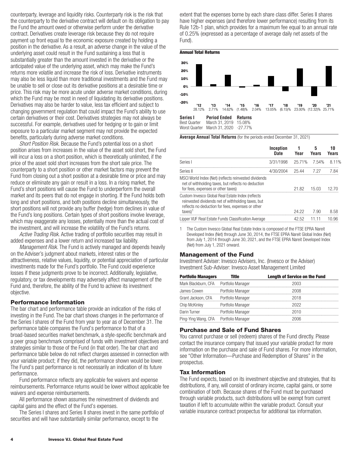counterparty, leverage and liquidity risks. Counterparty risk is the risk that the counterparty to the derivative contract will default on its obligation to pay the Fund the amount owed or otherwise perform under the derivative contract. Derivatives create leverage risk because they do not require payment up front equal to the economic exposure created by holding a position in the derivative. As a result, an adverse change in the value of the underlying asset could result in the Fund sustaining a loss that is substantially greater than the amount invested in the derivative or the anticipated value of the underlying asset, which may make the Fund's returns more volatile and increase the risk of loss. Derivative instruments may also be less liquid than more traditional investments and the Fund may be unable to sell or close out its derivative positions at a desirable time or price. This risk may be more acute under adverse market conditions, during which the Fund may be most in need of liquidating its derivative positions. Derivatives may also be harder to value, less tax efficient and subject to changing government regulation that could impact the Fund's ability to use certain derivatives or their cost. Derivatives strategies may not always be successful. For example, derivatives used for hedging or to gain or limit exposure to a particular market segment may not provide the expected benefits, particularly during adverse market conditions.

*Short Position Risk.* Because the Fund's potential loss on a short position arises from increases in the value of the asset sold short, the Fund will incur a loss on a short position, which is theoretically unlimited, if the price of the asset sold short increases from the short sale price. The counterparty to a short position or other market factors may prevent the Fund from closing out a short position at a desirable time or price and may reduce or eliminate any gain or result in a loss. In a rising market, the Fund's short positions will cause the Fund to underperform the overall market and its peers that do not engage in shorting. If the Fund holds both long and short positions, and both positions decline simultaneously, the short positions will not provide any buffer (hedge) from declines in value of the Fund's long positions. Certain types of short positions involve leverage, which may exaggerate any losses, potentially more than the actual cost of the investment, and will increase the volatility of the Fund's returns.

*Active Trading Risk.* Active trading of portfolio securities may result in added expenses and a lower return and increased tax liability.

*Management Risk.* The Fund is actively managed and depends heavily on the Adviser's judgment about markets, interest rates or the attractiveness, relative values, liquidity, or potential appreciation of particular investments made for the Fund's portfolio. The Fund could experience losses if these judgments prove to be incorrect. Additionally, legislative, regulatory, or tax developments may adversely affect management of the Fund and, therefore, the ability of the Fund to achieve its investment objective.

#### **Performance Information**

The bar chart and performance table provide an indication of the risks of investing in the Fund. The bar chart shows changes in the performance of the Series I shares of the Fund from year to year as of December 31. The performance table compares the Fund's performance to that of a broad-based securities market benchmark, a style-specific benchmark and a peer group benchmark comprised of funds with investment objectives and strategies similar to those of the Fund (in that order). The bar chart and performance table below do not reflect charges assessed in connection with your variable product; if they did, the performance shown would be lower. The Fund's past performance is not necessarily an indication of its future performance.

Fund performance reflects any applicable fee waivers and expense reimbursements. Performance returns would be lower without applicable fee waivers and expense reimbursements.

All performance shown assumes the reinvestment of dividends and capital gains and the effect of the Fund's expenses.

The Series I shares and Series II shares invest in the same portfolio of securities and will have substantially similar performance, except to the

extent that the expenses borne by each share class differ. Series II shares have higher expenses (and therefore lower performance) resulting from its Rule 12b-1 plan, which provides for a maximum fee equal to an annual rate of 0.25% (expressed as a percentage of average daily net assets of the Fund).





**Average Annual Total Returns** (for the periods ended December 31, 2021)

|                                                                                                                                                                                      | Inception<br><b>Date</b> | Year           | 5<br>Years    | 10<br>Years   |
|--------------------------------------------------------------------------------------------------------------------------------------------------------------------------------------|--------------------------|----------------|---------------|---------------|
| Series I                                                                                                                                                                             | 3/31/1998                | 25.71%         | 7.54%         | 8.11%         |
| Series II<br>MSCI World Index (Net) (reflects reinvested dividends<br>net of withholding taxes, but reflects no deduction<br>for fees, expenses or other taxes)                      | 4/30/2004                | 25.44<br>21.82 | 7.27<br>15.03 | 7.84<br>12 70 |
| Custom Invesco Global Real Estate Index (reflects<br>reinvested dividends net of withholding taxes, but<br>reflects no deduction for fees, expenses or other<br>$taxes$ <sup>1</sup> |                          | 24.22          | 7.90          | 8.58          |
| Lipper VUF Real Estate Funds Classification Average                                                                                                                                  |                          | 42.52          | 11.11         | 10.96         |
|                                                                                                                                                                                      |                          |                |               |               |

1 The Custom Invesco Global Real Estate Index is composed of the FTSE EPRA Nareit Developed Index (Net) through June 30, 2014, the FTSE EPRA Nareit Global Index (Net) from July 1, 2014 through June 30, 2021, and the FTSE EPRA Nareit Developed Index (Net) from July 1, 2021 onward.

#### **Management of the Fund**

Investment Adviser: Invesco Advisers, Inc. (Invesco or the Adviser) Investment Sub-Adviser: Invesco Asset Management Limited

| <b>Portfolio Managers</b>             | Title             | <b>Length of Service on the Fund</b> |
|---------------------------------------|-------------------|--------------------------------------|
| Mark Blackburn, CFA                   | Portfolio Manager | 2003                                 |
| James Cowen                           | Portfolio Manager | 2008                                 |
| Grant Jackson, CFA                    | Portfolio Manager | 2018                                 |
| Chip McKinley                         | Portfolio Manager | 2022                                 |
| Darin Turner                          | Portfolio Manager | 2010                                 |
| Ping-Ying Wang, CFA Portfolio Manager |                   | 2006                                 |

### **Purchase and Sale of Fund Shares**

You cannot purchase or sell (redeem) shares of the Fund directly. Please contact the insurance company that issued your variable product for more information on the purchase and sale of Fund shares. For more information, see "Other Information—Purchase and Redemption of Shares" in the prospectus.

#### **Tax Information**

The Fund expects, based on its investment objective and strategies, that its distributions, if any, will consist of ordinary income, capital gains, or some combination of both. Because shares of the Fund must be purchased through variable products, such distributions will be exempt from current taxation if left to accumulate within the variable product. Consult your variable insurance contract prospectus for additional tax information.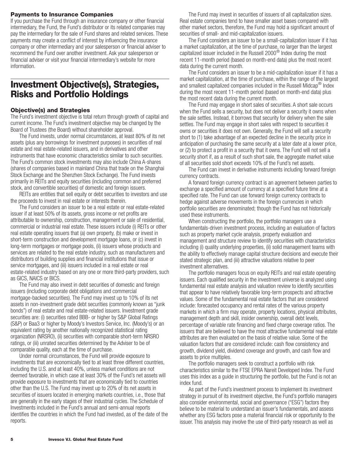### <span id="page-6-0"></span>**Payments to Insurance Companies**

If you purchase the Fund through an insurance company or other financial intermediary, the Fund, the Fund's distributor or its related companies may pay the intermediary for the sale of Fund shares and related services. These payments may create a conflict of interest by influencing the insurance company or other intermediary and your salesperson or financial adviser to recommend the Fund over another investment. Ask your salesperson or financial adviser or visit your financial intermediary's website for more information.

# **Investment Objective(s), Strategies, Risks and Portfolio Holdings**

#### **Objective(s) and Strategies**

The Fund's investment objective is total return through growth of capital and current income. The Fund's investment objective may be changed by the Board of Trustees (the Board) without shareholder approval.

The Fund invests, under normal circumstances, at least 80% of its net assets (plus any borrowings for investment purposes) in securities of real estate and real estate-related issuers, and in derivatives and other instruments that have economic characteristics similar to such securities. The Fund's common stock investments may also include China A-shares (shares of companies based in mainland China that trade on the Shanghai Stock Exchange and the Shenzhen Stock Exchange). The Fund invests primarily in REITs and equity securities (including common and preferred stock, and convertible securities) of domestic and foreign issuers.

REITs are entities that sell equity or debt securities to investors and use the proceeds to invest in real estate or interests therein.

The Fund considers an issuer to be a real estate or real estate-related issuer if at least 50% of its assets, gross income or net profits are attributable to ownership, construction, management or sale of residential, commercial or industrial real estate. These issuers include (i) REITs or other real estate operating issuers that (a) own property, (b) make or invest in short-term construction and development mortgage loans, or (c) invest in long-term mortgages or mortgage pools, (ii) issuers whose products and services are related to the real estate industry, such as manufacturers and distributors of building supplies and financial institutions that issue or service mortgages, and (iii) issuers included in a real estate or real estate-related industry based on any one or more third-party providers, such as GICS, NAICS or BICS.

The Fund may also invest in debt securities of domestic and foreign issuers (including corporate debt obligations and commercial mortgage-backed securities). The Fund may invest up to 10% of its net assets in non-investment grade debt securities (commonly known as "junk bonds") of real estate and real estate-related issuers. Investment grade securities are: (i) securities rated BBB- or higher by S&P Global Ratings (S&P) or Baa3 or higher by Moody's Investors Service, Inc. (Moody's) or an equivalent rating by another nationally recognized statistical rating organization (NRSRO), (ii) securities with comparable short-term NRSRO ratings, or (iii) unrated securities determined by the Adviser to be of comparable quality, each at the time of purchase.

Under normal circumstances, the Fund will provide exposure to investments that are economically tied to at least three different countries, including the U.S. and at least 40%, unless market conditions are not deemed favorable, in which case at least 30% of the Fund's net assets will provide exposure to investments that are economically tied to countries other than the U.S. The Fund may invest up to 20% of its net assets in securities of issuers located in emerging markets countries, i.e., those that are generally in the early stages of their industrial cycles. The Schedule of Investments included in the Fund's annual and semi-annual reports identifies the countries in which the Fund had invested, as of the date of the reports.

The Fund may invest in securities of issuers of all capitalization sizes. Real estate companies tend to have smaller asset bases compared with other market sectors, therefore, the Fund may hold a significant amount of securities of small- and mid-capitalization issuers.

The Fund considers an issuer to be a small-capitalization issuer if it has a market capitalization, at the time of purchase, no larger than the largest capitalized issuer included in the Russell 2000® Index during the most recent 11-month period (based on month-end data) plus the most recent data during the current month.

The Fund considers an issuer to be a mid-capitalization issuer if it has a market capitalization, at the time of purchase, within the range of the largest and smallest capitalized companies included in the Russell Midcap<sup>®</sup> Index during the most recent 11-month period (based on month-end data) plus the most recent data during the current month.

The Fund may engage in short sales of securities. A short sale occurs when the Fund sells a security, but does not deliver a security it owns when the sale settles. Instead, it borrows that security for delivery when the sale settles. The Fund may engage in short sales with respect to securities it owns or securities it does not own. Generally, the Fund will sell a security short to (1) take advantage of an expected decline in the security price in anticipation of purchasing the same security at a later date at a lower price, or (2) to protect a profit in a security that it owns. The Fund will not sell a security short if, as a result of such short sale, the aggregate market value of all securities sold short exceeds 10% of the Fund's net assets.

The Fund can invest in derivative instruments including forward foreign currency contracts.

A forward foreign currency contract is an agreement between parties to exchange a specified amount of currency at a specified future time at a specified rate. The Fund can use forward foreign currency contracts to hedge against adverse movements in the foreign currencies in which portfolio securities are denominated; though the Fund has not historically used these instruments.

When constructing the portfolio, the portfolio managers use a fundamentals-driven investment process, including an evaluation of factors such as property market cycle analysis, property evaluation and management and structure review to identify securities with characteristics including (i) quality underlying properties, (ii) solid management teams with the ability to effectively manage capital structure decisions and execute their stated strategic plan, and (iii) attractive valuations relative to peer investment alternatives.

The portfolio managers focus on equity REITs and real estate operating issuers. Each qualified security in the investment universe is analyzed using fundamental real estate analysis and valuation review to identify securities that appear to have relatively favorable long-term prospects and attractive values. Some of the fundamental real estate factors that are considered include: forecasted occupancy and rental rates of the various property markets in which a firm may operate, property locations, physical attributes, management depth and skill, insider ownership, overall debt levels, percentage of variable rate financing and fixed charge coverage ratios. The issuers that are believed to have the most attractive fundamental real estate attributes are then evaluated on the basis of relative value. Some of the valuation factors that are considered include: cash flow consistency and growth, dividend yield, dividend coverage and growth, and cash flow and assets to price multiples.

The portfolio managers seek to construct a portfolio with risk characteristics similar to the FTSE EPRA Nareit Developed Index. The Fund uses this index as a guide in structuring the portfolio, but the Fund is not an index fund.

As part of the Fund's investment process to implement its investment strategy in pursuit of its investment objective, the Fund's portfolio managers also consider environmental, social and governance ("ESG") factors they believe to be material to understand an issuer's fundamentals, and assess whether any ESG factors pose a material financial risk or opportunity to the issuer. This analysis may involve the use of third-party research as well as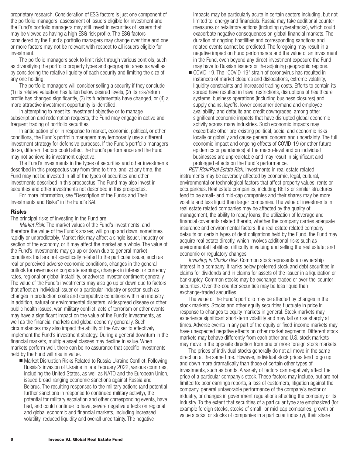proprietary research. Consideration of ESG factors is just one component of the portfolio managers' assessment of issuers eligible for investment and the Fund's portfolio managers may still invest in securities of issuers that may be viewed as having a high ESG risk profile. The ESG factors considered by the Fund's portfolio managers may change over time and one or more factors may not be relevant with respect to all issuers eligible for investment.

The portfolio managers seek to limit risk through various controls, such as diversifying the portfolio property types and geographic areas as well as by considering the relative liquidity of each security and limiting the size of any one holding.

The portfolio managers will consider selling a security if they conclude (1) its relative valuation has fallen below desired levels, (2) its risk/return profile has changed significantly, (3) its fundamentals have changed, or (4) a more attractive investment opportunity is identified.

In attempting to meet its investment objective or to manage subscription and redemption requests, the Fund may engage in active and frequent trading of portfolio securities.

In anticipation of or in response to market, economic, political, or other conditions, the Fund's portfolio managers may temporarily use a different investment strategy for defensive purposes. If the Fund's portfolio managers do so, different factors could affect the Fund's performance and the Fund may not achieve its investment objective.

The Fund's investments in the types of securities and other investments described in this prospectus vary from time to time, and, at any time, the Fund may not be invested in all of the types of securities and other investments described in this prospectus. The Fund may also invest in securities and other investments not described in this prospectus.

For more information, see "Description of the Funds and Their Investments and Risks" in the Fund's SAI.

#### **Risks**

The principal risks of investing in the Fund are:

*Market Risk.* The market values of the Fund's investments, and therefore the value of the Fund's shares, will go up and down, sometimes rapidly or unpredictably. Market risk may affect a single issuer, industry or section of the economy, or it may affect the market as a whole. The value of the Fund's investments may go up or down due to general market conditions that are not specifically related to the particular issuer, such as real or perceived adverse economic conditions, changes in the general outlook for revenues or corporate earnings, changes in interest or currency rates, regional or global instability, or adverse investor sentiment generally. The value of the Fund's investments may also go up or down due to factors that affect an individual issuer or a particular industry or sector, such as changes in production costs and competitive conditions within an industry. In addition, natural or environmental disasters, widespread disease or other public health issues, war, military conflict, acts of terrorism or other events may have a significant impact on the value of the Fund's investments, as well as the financial markets and global economy generally. Such circumstances may also impact the ability of the Adviser to effectively implement the Fund's investment strategy. During a general downturn in the financial markets, multiple asset classes may decline in value. When markets perform well, there can be no assurance that specific investments held by the Fund will rise in value.

■ Market Disruption Risks Related to Russia-Ukraine Conflict. Following Russia's invasion of Ukraine in late February 2022, various countries, including the United States, as well as NATO and the European Union, issued broad-ranging economic sanctions against Russia and Belarus. The resulting responses to the military actions (and potential further sanctions in response to continued military activity), the potential for military escalation and other corresponding events, have had, and could continue to have, severe negative effects on regional and global economic and financial markets, including increased volatility, reduced liquidity and overall uncertainty. The negative

impacts may be particularly acute in certain sectors including, but not limited to, energy and financials. Russia may take additional counter measures or retaliatory actions (including cyberattacks), which could exacerbate negative consequences on global financial markets. The duration of ongoing hostilities and corresponding sanctions and related events cannot be predicted. The foregoing may result in a negative impact on Fund performance and the value of an investment in the Fund, even beyond any direct investment exposure the Fund may have to Russian issuers or the adjoining geographic regions.

■ COVID-19. The "COVID-19" strain of coronavirus has resulted in instances of market closures and dislocations, extreme volatility, liquidity constraints and increased trading costs. Efforts to contain its spread have resulted in travel restrictions, disruptions of healthcare systems, business operations (including business closures) and supply chains, layoffs, lower consumer demand and employee availability, and defaults and credit downgrades, among other significant economic impacts that have disrupted global economic activity across many industries. Such economic impacts may exacerbate other pre-existing political, social and economic risks locally or globally and cause general concern and uncertainty. The full economic impact and ongoing effects of COVID-19 (or other future epidemics or pandemics) at the macro-level and on individual businesses are unpredictable and may result in significant and prolonged effects on the Fund's performance.

*REIT Risk/Real Estate Risk.* Investments in real estate related instruments may be adversely affected by economic, legal, cultural, environmental or technological factors that affect property values, rents or occupancies. Real estate companies, including REITs or similar structures, tend to be small- and mid-cap companies and their shares may be more volatile and less liquid than larger companies. The value of investments in real estate related companies may be affected by the quality of management, the ability to repay loans, the utilization of leverage and financial covenants related thereto, whether the company carries adequate insurance and environmental factors. If a real estate related company defaults on certain types of debt obligations held by the Fund, the Fund may acquire real estate directly, which involves additional risks such as environmental liabilities; difficulty in valuing and selling the real estate; and economic or regulatory changes.

*Investing in Stocks Risk*. Common stock represents an ownership interest in a company. It ranks below preferred stock and debt securities in claims for dividends and in claims for assets of the issuer in a liquidation or bankruptcy. Common stocks may be exchange-traded or over-the-counter securities. Over-the-counter securities may be less liquid than exchange-traded securities.

The value of the Fund's portfolio may be affected by changes in the stock markets. Stocks and other equity securities fluctuate in price in response to changes to equity markets in general. Stock markets may experience significant short-term volatility and may fall or rise sharply at times. Adverse events in any part of the equity or fixed-income markets may have unexpected negative effects on other market segments. Different stock markets may behave differently from each other and U.S. stock markets may move in the opposite direction from one or more foreign stock markets.

The prices of individual stocks generally do not all move in the same direction at the same time. However, individual stock prices tend to go up and down more dramatically than those of certain other types of investments, such as bonds. A variety of factors can negatively affect the price of a particular company's stock. These factors may include, but are not limited to: poor earnings reports, a loss of customers, litigation against the company, general unfavorable performance of the company's sector or industry, or changes in government regulations affecting the company or its industry. To the extent that securities of a particular type are emphasized (for example foreign stocks, stocks of small- or mid-cap companies, growth or value stocks, or stocks of companies in a particular industry), their share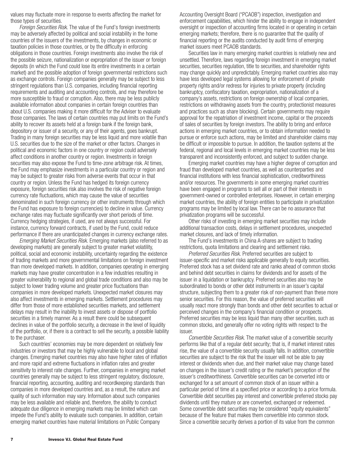values may fluctuate more in response to events affecting the market for those types of securities.

*Foreign Securities Risk.* The value of the Fund's foreign investments may be adversely affected by political and social instability in the home countries of the issuers of the investments, by changes in economic or taxation policies in those countries, or by the difficulty in enforcing obligations in those countries. Foreign investments also involve the risk of the possible seizure, nationalization or expropriation of the issuer or foreign deposits (in which the Fund could lose its entire investments in a certain market) and the possible adoption of foreign governmental restrictions such as exchange controls. Foreign companies generally may be subject to less stringent regulations than U.S. companies, including financial reporting requirements and auditing and accounting controls, and may therefore be more susceptible to fraud or corruption. Also, there may be less publicly available information about companies in certain foreign countries than about U.S. companies making it more difficult for the Adviser to evaluate those companies. The laws of certain countries may put limits on the Fund's ability to recover its assets held at a foreign bank if the foreign bank, depository or issuer of a security, or any of their agents, goes bankrupt. Trading in many foreign securities may be less liquid and more volatile than U.S. securities due to the size of the market or other factors. Changes in political and economic factors in one country or region could adversely affect conditions in another country or region. Investments in foreign securities may also expose the Fund to time-zone arbitrage risk. At times, the Fund may emphasize investments in a particular country or region and may be subject to greater risks from adverse events that occur in that country or region. Unless the Fund has hedged its foreign currency exposure, foreign securities risk also involves the risk of negative foreign currency rate fluctuations, which may cause the value of securities denominated in such foreign currency (or other instruments through which the Fund has exposure to foreign currencies) to decline in value. Currency exchange rates may fluctuate significantly over short periods of time. Currency hedging strategies, if used, are not always successful. For instance, currency forward contracts, if used by the Fund, could reduce performance if there are unanticipated changes in currency exchange rates.

*Emerging Market Securities Risk.* Emerging markets (also referred to as developing markets) are generally subject to greater market volatility, political, social and economic instability, uncertainty regarding the existence of trading markets and more governmental limitations on foreign investment than more developed markets. In addition, companies operating in emerging markets may have greater concentration in a few industries resulting in greater vulnerability to regional and global trade conditions and also may be subject to lower trading volume and greater price fluctuations than companies in more developed markets. Unexpected market closures may also affect investments in emerging markets. Settlement procedures may differ from those of more established securities markets, and settlement delays may result in the inability to invest assets or dispose of portfolio securities in a timely manner. As a result there could be subsequent declines in value of the portfolio security, a decrease in the level of liquidity of the portfolio, or, if there is a contract to sell the security, a possible liability to the purchaser.

Such countries' economies may be more dependent on relatively few industries or investors that may be highly vulnerable to local and global changes. Emerging market countries may also have higher rates of inflation and more rapid and extreme fluctuations in inflation rates and greater sensitivity to interest rate changes. Further, companies in emerging market countries generally may be subject to less stringent regulatory, disclosure, financial reporting, accounting, auditing and recordkeeping standards than companies in more developed countries and, as a result, the nature and quality of such information may vary. Information about such companies may be less available and reliable and, therefore, the ability to conduct adequate due diligence in emerging markets may be limited which can impede the Fund's ability to evaluate such companies. In addition, certain emerging market countries have material limitations on Public Company

Accounting Oversight Board ("PCAOB") inspection, investigation and enforcement capabilities, which hinder the ability to engage in independent oversight or inspection of accounting firms located in or operating in certain emerging markets; therefore, there is no guarantee that the quality of financial reporting or the audits conducted by audit firms of emerging market issuers meet PCAOB standards.

Securities law in many emerging market countries is relatively new and unsettled. Therefore, laws regarding foreign investment in emerging market securities, securities regulation, title to securities, and shareholder rights may change quickly and unpredictably. Emerging market countries also may have less developed legal systems allowing for enforcement of private property rights and/or redress for injuries to private property (including bankruptcy, confiscatory taxation, expropriation, nationalization of a company's assets, restrictions on foreign ownership of local companies, restrictions on withdrawing assets from the country, protectionist measures and practices such as share blocking). Certain governments may require approval for the repatriation of investment income, capital or the proceeds of sales of securities by foreign investors. The ability to bring and enforce actions in emerging market countries, or to obtain information needed to pursue or enforce such actions, may be limited and shareholder claims may be difficult or impossible to pursue. In addition, the taxation systems at the federal, regional and local levels in emerging market countries may be less transparent and inconsistently enforced, and subject to sudden change.

Emerging market countries may have a higher degree of corruption and fraud than developed market countries, as well as counterparties and financial institutions with less financial sophistication, creditworthiness and/or resources. The governments in some emerging market countries have been engaged in programs to sell all or part of their interests in government-owned or controlled enterprises. However, in certain emerging market countries, the ability of foreign entities to participate in privatization programs may be limited by local law. There can be no assurance that privatization programs will be successful.

Other risks of investing in emerging market securities may include additional transaction costs, delays in settlement procedures, unexpected market closures, and lack of timely information.

The Fund's investments in China A-shares are subject to trading restrictions, quota limitations and clearing and settlement risks.

*Preferred Securities Risk.* Preferred securities are subject to issuer-specific and market risks applicable generally to equity securities. Preferred stock has a set dividend rate and ranks ahead of common stocks and behind debt securities in claims for dividends and for assets of the issuer in a liquidation or bankruptcy. Preferred securities also may be subordinated to bonds or other debt instruments in an issuer's capital structure, subjecting them to a greater risk of non-payment than these more senior securities. For this reason, the value of preferred securities will usually react more strongly than bonds and other debt securities to actual or perceived changes in the company's financial condition or prospects. Preferred securities may be less liquid than many other securities, such as common stocks, and generally offer no voting rights with respect to the issuer.

*Convertible Securities Risk.* The market value of a convertible security performs like that of a regular debt security; that is, if market interest rates rise, the value of a convertible security usually falls. In addition, convertible securities are subject to the risk that the issuer will not be able to pay interest or dividends when due, and their market value may change based on changes in the issuer's credit rating or the market's perception of the issuer's creditworthiness. Convertible securities can be converted into or exchanged for a set amount of common stock of an issuer within a particular period of time at a specified price or according to a price formula. Convertible debt securities pay interest and convertible preferred stocks pay dividends until they mature or are converted, exchanged or redeemed. Some convertible debt securities may be considered "equity equivalents" because of the feature that makes them convertible into common stock. Since a convertible security derives a portion of its value from the common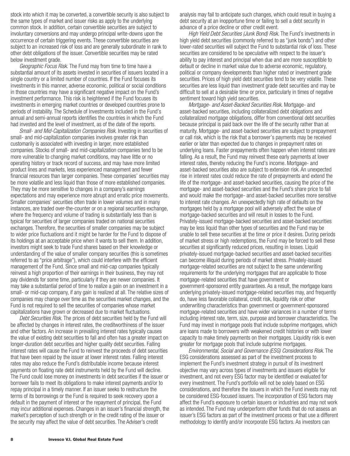stock into which it may be converted, a convertible security is also subject to the same types of market and issuer risks as apply to the underlying common stock. In addition, certain convertible securities are subject to involuntary conversions and may undergo principal write-downs upon the occurrence of certain triggering events. These convertible securities are subject to an increased risk of loss and are generally subordinate in rank to other debt obligations of the issuer. Convertible securities may be rated below investment grade.

*Geographic Focus Risk.* The Fund may from time to time have a substantial amount of its assets invested in securities of issuers located in a single country or a limited number of countries. If the Fund focuses its investments in this manner, adverse economic, political or social conditions in those countries may have a significant negative impact on the Fund's investment performance. This risk is heightened if the Fund focuses its investments in emerging market countries or developed countries prone to periods of instability. The Schedule of Investments included in the Fund's annual and semi-annual reports identifies the countries in which the Fund had invested and the level of investment, as of the date of the reports.

*Small- and Mid-Capitalization Companies Risk*. Investing in securities of small- and mid-capitalization companies involves greater risk than customarily is associated with investing in larger, more established companies. Stocks of small- and mid-capitalization companies tend to be more vulnerable to changing market conditions, may have little or no operating history or track record of success, and may have more limited product lines and markets, less experienced management and fewer financial resources than larger companies. These companies' securities may be more volatile and less liquid than those of more established companies. They may be more sensitive to changes in a company's earnings expectations and may experience more abrupt and erratic price movements. Smaller companies' securities often trade in lower volumes and in many instances, are traded over-the-counter or on a regional securities exchange, where the frequency and volume of trading is substantially less than is typical for securities of larger companies traded on national securities exchanges. Therefore, the securities of smaller companies may be subject to wider price fluctuations and it might be harder for the Fund to dispose of its holdings at an acceptable price when it wants to sell them. In addition, investors might seek to trade Fund shares based on their knowledge or understanding of the value of smaller company securities (this is sometimes referred to as "price arbitrage"), which could interfere with the efficient management of the Fund. Since small and mid-cap companies typically reinvest a high proportion of their earnings in their business, they may not pay dividends for some time, particularly if they are newer companies. It may take a substantial period of time to realize a gain on an investment in a small- or mid-cap company, if any gain is realized at all. The relative sizes of companies may change over time as the securities market changes, and the Fund is not required to sell the securities of companies whose market capitalizations have grown or decreased due to market fluctuations.

*Debt Securities Risk.* The prices of debt securities held by the Fund will be affected by changes in interest rates, the creditworthiness of the issuer and other factors. An increase in prevailing interest rates typically causes the value of existing debt securities to fall and often has a greater impact on longer-duration debt securities and higher quality debt securities. Falling interest rates will cause the Fund to reinvest the proceeds of debt securities that have been repaid by the issuer at lower interest rates. Falling interest rates may also reduce the Fund's distributable income because interest payments on floating rate debt instruments held by the Fund will decline. The Fund could lose money on investments in debt securities if the issuer or borrower fails to meet its obligations to make interest payments and/or to repay principal in a timely manner. If an issuer seeks to restructure the terms of its borrowings or the Fund is required to seek recovery upon a default in the payment of interest or the repayment of principal, the Fund may incur additional expenses. Changes in an issuer's financial strength, the market's perception of such strength or in the credit rating of the issuer or the security may affect the value of debt securities. The Adviser's credit

analysis may fail to anticipate such changes, which could result in buying a debt security at an inopportune time or failing to sell a debt security in advance of a price decline or other credit event.

*High Yield Debt Securities (Junk Bond) Risk.* The Fund's investments in high yield debt securities (commonly referred to as "junk bonds") and other lower-rated securities will subject the Fund to substantial risk of loss. These securities are considered to be speculative with respect to the issuer's ability to pay interest and principal when due and are more susceptible to default or decline in market value due to adverse economic, regulatory, political or company developments than higher rated or investment grade securities. Prices of high yield debt securities tend to be very volatile. These securities are less liquid than investment grade debt securities and may be difficult to sell at a desirable time or price, particularly in times of negative sentiment toward high yield securities.

*Mortgage- and Asset-Backed Securities Risk.* Mortgage- and asset-backed securities, including collateralized debt obligations and collateralized mortgage obligations, differ from conventional debt securities because principal is paid back over the life of the security rather than at maturity. Mortgage- and asset-backed securities are subject to prepayment or call risk, which is the risk that a borrower's payments may be received earlier or later than expected due to changes in prepayment rates on underlying loans. Faster prepayments often happen when interest rates are falling. As a result, the Fund may reinvest these early payments at lower interest rates, thereby reducing the Fund's income. Mortgage- and asset-backed securities also are subject to extension risk. An unexpected rise in interest rates could reduce the rate of prepayments and extend the life of the mortgage- and asset-backed securities, causing the price of the mortgage- and asset-backed securities and the Fund's share price to fall and would make the mortgage- and asset-backed securities more sensitive to interest rate changes. An unexpectedly high rate of defaults on the mortgages held by a mortgage pool will adversely affect the value of mortgage-backed securities and will result in losses to the Fund. Privately-issued mortgage-backed securities and asset-backed securities may be less liquid than other types of securities and the Fund may be unable to sell these securities at the time or price it desires. During periods of market stress or high redemptions, the Fund may be forced to sell these securities at significantly reduced prices, resulting in losses. Liquid privately-issued mortgage-backed securities and asset-backed securities can become illiquid during periods of market stress. Privately-issued mortgage-related securities are not subject to the same underwriting requirements for the underlying mortgages that are applicable to those mortgage-related securities that have government or government-sponsored entity guarantees. As a result, the mortgage loans underlying privately-issued mortgage-related securities may, and frequently do, have less favorable collateral, credit risk, liquidity risk or other underwriting characteristics than government or government-sponsored mortgage-related securities and have wider variances in a number of terms including interest rate, term, size, purpose and borrower characteristics. The Fund may invest in mortgage pools that include subprime mortgages, which are loans made to borrowers with weakened credit histories or with lower capacity to make timely payments on their mortgages. Liquidity risk is even greater for mortgage pools that include subprime mortgages.

*Environmental, Social and Governance (ESG) Considerations Risk*. The ESG considerations assessed as part of the investment process to implement the Fund's investment strategy in pursuit of its investment objective may vary across types of investments and issuers eligible for investment, and not every ESG factor may be identified or evaluated for every investment. The Fund's portfolio will not be solely based on ESG considerations, and therefore the issuers in which the Fund invests may not be considered ESG-focused issuers. The incorporation of ESG factors may affect the Fund's exposure to certain issuers or industries and may not work as intended. The Fund may underperform other funds that do not assess an issuer's ESG factors as part of the investment process or that use a different methodology to identify and/or incorporate ESG factors. As investors can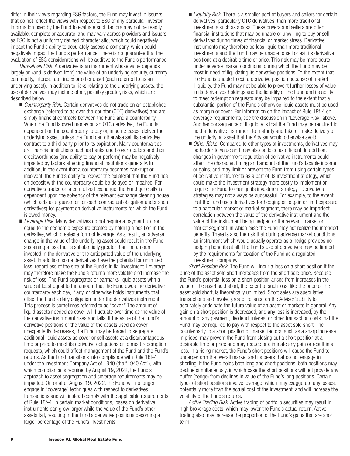differ in their views regarding ESG factors, the Fund may invest in issuers that do not reflect the views with respect to ESG of any particular investor. Information used by the Fund to evaluate such factors may not be readily available, complete or accurate, and may vary across providers and issuers as ESG is not a uniformly defined characteristic, which could negatively impact the Fund's ability to accurately assess a company, which could negatively impact the Fund's performance. There is no guarantee that the evaluation of ESG considerations will be additive to the Fund's performance.

*Derivatives Risk.* A derivative is an instrument whose value depends largely on (and is derived from) the value of an underlying security, currency, commodity, interest rate, index or other asset (each referred to as an underlying asset). In addition to risks relating to the underlying assets, the use of derivatives may include other, possibly greater, risks, which are described below.

- *Counterparty Risk.* Certain derivatives do not trade on an established exchange (referred to as over-the-counter (OTC) derivatives) and are simply financial contracts between the Fund and a counterparty. When the Fund is owed money on an OTC derivative, the Fund is dependent on the counterparty to pay or, in some cases, deliver the underlying asset, unless the Fund can otherwise sell its derivative contract to a third party prior to its expiration. Many counterparties are financial institutions such as banks and broker-dealers and their creditworthiness (and ability to pay or perform) may be negatively impacted by factors affecting financial institutions generally. In addition, in the event that a counterparty becomes bankrupt or insolvent, the Fund's ability to recover the collateral that the Fund has on deposit with the counterparty could be delayed or impaired. For derivatives traded on a centralized exchange, the Fund generally is dependent upon the solvency of the relevant exchange clearing house (which acts as a guarantor for each contractual obligation under such derivatives) for payment on derivative instruments for which the Fund is owed money.
- *Leverage Risk.* Many derivatives do not require a payment up front equal to the economic exposure created by holding a position in the derivative, which creates a form of leverage. As a result, an adverse change in the value of the underlying asset could result in the Fund sustaining a loss that is substantially greater than the amount invested in the derivative or the anticipated value of the underlying asset. In addition, some derivatives have the potential for unlimited loss, regardless of the size of the Fund's initial investment. Leverage may therefore make the Fund's returns more volatile and increase the risk of loss. The Fund segregates or earmarks liquid assets with a value at least equal to the amount that the Fund owes the derivative counterparty each day, if any, or otherwise holds instruments that offset the Fund's daily obligation under the derivatives instrument. This process is sometimes referred to as "cover." The amount of liquid assets needed as cover will fluctuate over time as the value of the derivative instrument rises and falls. If the value of the Fund's derivative positions or the value of the assets used as cover unexpectedly decreases, the Fund may be forced to segregate additional liquid assets as cover or sell assets at a disadvantageous time or price to meet its derivative obligations or to meet redemption requests, which could affect management of the Fund and the Fund's returns. As the Fund transitions into compliance with Rule 18f-4 under the Investment Company Act of 1940 (the "1940 Act"), with which compliance is required by August 19, 2022, the Fund's approach to asset segregation and coverage requirements may be impacted. On or after August 19, 2022, the Fund will no longer engage in "coverage" techniques with respect to derivatives transactions and will instead comply with the applicable requirements of Rule 18f-4. In certain market conditions, losses on derivative instruments can grow larger while the value of the Fund's other assets fall, resulting in the Fund's derivative positions becoming a larger percentage of the Fund's investments.
- *Liquidity Risk.* There is a smaller pool of buyers and sellers for certain derivatives, particularly OTC derivatives, than more traditional investments such as stocks. These buyers and sellers are often financial institutions that may be unable or unwilling to buy or sell derivatives during times of financial or market stress. Derivative instruments may therefore be less liquid than more traditional investments and the Fund may be unable to sell or exit its derivative positions at a desirable time or price. This risk may be more acute under adverse market conditions, during which the Fund may be most in need of liquidating its derivative positions. To the extent that the Fund is unable to exit a derivative position because of market illiquidity, the Fund may not be able to prevent further losses of value in its derivatives holdings and the liquidity of the Fund and its ability to meet redemption requests may be impaired to the extent that a substantial portion of the Fund's otherwise liquid assets must be used as margin or cover. For information on the impact of Rule 18f-4 on coverage requirements, see the discussion in "Leverage Risk" above. Another consequence of illiquidity is that the Fund may be required to hold a derivative instrument to maturity and take or make delivery of the underlying asset that the Adviser would otherwise avoid.
- Other Risks. Compared to other types of investments, derivatives may be harder to value and may also be less tax efficient. In addition, changes in government regulation of derivative instruments could affect the character, timing and amount of the Fund's taxable income or gains, and may limit or prevent the Fund from using certain types of derivative instruments as a part of its investment strategy, which could make the investment strategy more costly to implement or require the Fund to change its investment strategy. Derivatives strategies may not always be successful. For example, to the extent that the Fund uses derivatives for hedging or to gain or limit exposure to a particular market or market segment, there may be imperfect correlation between the value of the derivative instrument and the value of the instrument being hedged or the relevant market or market segment, in which case the Fund may not realize the intended benefits. There is also the risk that during adverse market conditions, an instrument which would usually operate as a hedge provides no hedging benefits at all. The Fund's use of derivatives may be limited by the requirements for taxation of the Fund as a regulated investment company.

*Short Position Risk.* The Fund will incur a loss on a short position if the price of the asset sold short increases from the short sale price. Because the Fund's potential loss on a short position arises from increases in the value of the asset sold short, the extent of such loss, like the price of the asset sold short, is theoretically unlimited. Short sales are speculative transactions and involve greater reliance on the Adviser's ability to accurately anticipate the future value of an asset or markets in general. Any gain on a short position is decreased, and any loss is increased, by the amount of any payment, dividend, interest or other transaction costs that the Fund may be required to pay with respect to the asset sold short. The counterparty to a short position or market factors, such as a sharp increase in prices, may prevent the Fund from closing out a short position at a desirable time or price and may reduce or eliminate any gain or result in a loss. In a rising market, the Fund's short positions will cause the Fund to underperform the overall market and its peers that do not engage in shorting. If the Fund holds both long and short positions, both positions may decline simultaneously, in which case the short positions will not provide any buffer (hedge) from declines in value of the Fund's long positions. Certain types of short positions involve leverage, which may exaggerate any losses, potentially more than the actual cost of the investment, and will increase the volatility of the Fund's returns.

*Active Trading Risk.* Active trading of portfolio securities may result in high brokerage costs, which may lower the Fund's actual return. Active trading also may increase the proportion of the Fund's gains that are short term.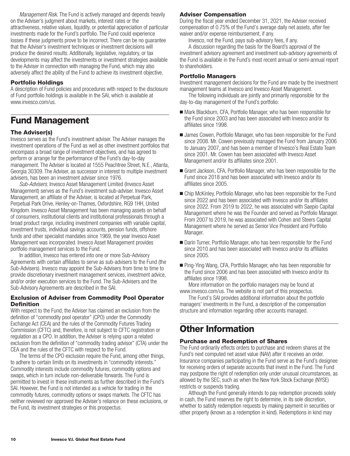<span id="page-11-0"></span>*Management Risk.* The Fund is actively managed and depends heavily on the Adviser's judgment about markets, interest rates or the attractiveness, relative values, liquidity, or potential appreciation of particular investments made for the Fund's portfolio. The Fund could experience losses if these judgments prove to be incorrect. There can be no guarantee that the Adviser's investment techniques or investment decisions will produce the desired results. Additionally, legislative, regulatory, or tax developments may affect the investments or investment strategies available to the Adviser in connection with managing the Fund, which may also adversely affect the ability of the Fund to achieve its investment objective.

### **Portfolio Holdings**

A description of Fund policies and procedures with respect to the disclosure of Fund portfolio holdings is available in the SAI, which is available at www.invesco.com/us.

# **Fund Management**

### **The Adviser(s)**

Invesco serves as the Fund's investment adviser. The Adviser manages the investment operations of the Fund as well as other investment portfolios that encompass a broad range of investment objectives, and has agreed to perform or arrange for the performance of the Fund's day-to-day management. The Adviser is located at 1555 Peachtree Street, N.E., Atlanta, Georgia 30309. The Adviser, as successor in interest to multiple investment advisers, has been an investment adviser since 1976.

*Sub-Advisers.* Invesco Asset Management Limited (Invesco Asset Management) serves as the Fund's investment sub-adviser. Invesco Asset Management, an affiliate of the Adviser, is located at Perpetual Park, Perpetual Park Drive, Henley-on-Thames, Oxfordshire, RG9 1HH, United Kingdom. Invesco Asset Management has been managing assets on behalf of consumers, institutional clients and institutional professionals through a broad product range, including investment companies with variable capital, investment trusts, individual savings accounts, pension funds, offshore funds and other specialist mandates since 1969, the year Invesco Asset Management was incorporated. Invesco Asset Management provides portfolio management services to the Fund.

In addition, Invesco has entered into one or more Sub-Advisory Agreements with certain affiliates to serve as sub-advisers to the Fund (the Sub-Advisers). Invesco may appoint the Sub-Advisers from time to time to provide discretionary investment management services, investment advice, and/or order execution services to the Fund. The Sub-Advisers and the Sub-Advisory Agreements are described in the SAI.

### **Exclusion of Adviser from Commodity Pool Operator Definition**

With respect to the Fund, the Adviser has claimed an exclusion from the definition of "commodity pool operator" (CPO) under the Commodity Exchange Act (CEA) and the rules of the Commodity Futures Trading Commission (CFTC) and, therefore, is not subject to CFTC registration or regulation as a CPO. In addition, the Adviser is relying upon a related exclusion from the definition of "commodity trading advisor" (CTA) under the CEA and the rules of the CFTC with respect to the Fund.

The terms of the CPO exclusion require the Fund, among other things, to adhere to certain limits on its investments in "commodity interests." Commodity interests include commodity futures, commodity options and swaps, which in turn include non-deliverable forwards. The Fund is permitted to invest in these instruments as further described in the Fund's SAI. However, the Fund is not intended as a vehicle for trading in the commodity futures, commodity options or swaps markets. The CFTC has neither reviewed nor approved the Adviser's reliance on these exclusions, or the Fund, its investment strategies or this prospectus.

### **Adviser Compensation**

During the fiscal year ended December 31, 2021, the Adviser received compensation of 0.75% of the Fund's average daily net assets, after fee waiver and/or expense reimbursement, if any.

Invesco, not the Fund, pays sub-advisory fees, if any.

A discussion regarding the basis for the Board's approval of the investment advisory agreement and investment sub-advisory agreements of the Fund is available in the Fund's most recent annual or semi-annual report to shareholders.

### **Portfolio Managers**

Investment management decisions for the Fund are made by the investment management teams at Invesco and Invesco Asset Management.

The following individuals are jointly and primarily responsible for the day-to-day management of the Fund's portfolio:

- Mark Blackburn, CFA, Portfolio Manager, who has been responsible for the Fund since 2003 and has been associated with Invesco and/or its affiliates since 1998.
- James Cowen, Portfolio Manager, who has been responsible for the Fund since 2008. Mr. Cowen previously managed the Fund from January 2006 to January 2007, and has been a member of Invesco's Real Estate Team since 2001. Mr. Cowen has been associated with Invesco Asset Management and/or its affiliates since 2001.
- Grant Jackson, CFA, Portfolio Manager, who has been responsible for the Fund since 2018 and has been associated with Invesco and/or its affiliates since 2005.
- Chip McKinley, Portfolio Manager, who has been responsible for the Fund since 2022 and has been associated with Invesco and/or its affiliates since 2022. From 2019 to 2022, he was associated with Saepio Capital Management where he was the Founder and served as Portfolio Manager. From 2007 to 2019, he was associated with Cohen and Steers Capital Management where he served as Senior Vice President and Portfolio Manager.
- Darin Turner, Portfolio Manager, who has been responsible for the Fund since 2010 and has been associated with Invesco and/or its affiliates since 2005.
- Ping-Ying Wang, CFA, Portfolio Manager, who has been responsible for the Fund since 2006 and has been associated with Invesco and/or its affiliates since 1998.

More information on the portfolio managers may be found at www.invesco.com/us. The website is not part of this prospectus.

The Fund's SAI provides additional information about the portfolio managers' investments in the Fund, a description of the compensation structure and information regarding other accounts managed.

## **Other Information**

### **Purchase and Redemption of Shares**

The Fund ordinarily effects orders to purchase and redeem shares at the Fund's next computed net asset value (NAV) after it receives an order. Insurance companies participating in the Fund serve as the Fund's designee for receiving orders of separate accounts that invest in the Fund. The Fund may postpone the right of redemption only under unusual circumstances, as allowed by the SEC, such as when the New York Stock Exchange (NYSE) restricts or suspends trading.

Although the Fund generally intends to pay redemption proceeds solely in cash, the Fund reserves the right to determine, in its sole discretion, whether to satisfy redemption requests by making payment in securities or other property (known as a redemption in kind). Redemptions in kind may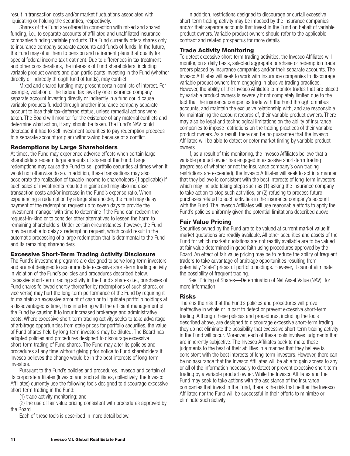<span id="page-12-0"></span>result in transaction costs and/or market fluctuations associated with liquidating or holding the securities, respectively.

Shares of the Fund are offered in connection with mixed and shared funding, i.e., to separate accounts of affiliated and unaffiliated insurance companies funding variable products. The Fund currently offers shares only to insurance company separate accounts and funds of funds. In the future, the Fund may offer them to pension and retirement plans that qualify for special federal income tax treatment. Due to differences in tax treatment and other considerations, the interests of Fund shareholders, including variable product owners and plan participants investing in the Fund (whether directly or indirectly through fund of funds), may conflict.

Mixed and shared funding may present certain conflicts of interest. For example, violation of the federal tax laws by one insurance company separate account investing directly or indirectly in a fund could cause variable products funded through another insurance company separate account to lose their tax-deferred status, unless remedial actions were taken. The Board will monitor for the existence of any material conflicts and determine what action, if any, should be taken. The Fund's NAV could decrease if it had to sell investment securities to pay redemption proceeds to a separate account (or plan) withdrawing because of a conflict.

### **Redemptions by Large Shareholders**

At times, the Fund may experience adverse effects when certain large shareholders redeem large amounts of shares of the Fund. Large redemptions may cause the Fund to sell portfolio securities at times when it would not otherwise do so. In addition, these transactions may also accelerate the realization of taxable income to shareholders (if applicable) if such sales of investments resulted in gains and may also increase transaction costs and/or increase in the Fund's expense ratio. When experiencing a redemption by a large shareholder, the Fund may delay payment of the redemption request up to seven days to provide the investment manager with time to determine if the Fund can redeem the request-in-kind or to consider other alternatives to lessen the harm to remaining shareholders. Under certain circumstances, however, the Fund may be unable to delay a redemption request, which could result in the automatic processing of a large redemption that is detrimental to the Fund and its remaining shareholders.

### **Excessive Short-Term Trading Activity Disclosure**

The Fund's investment programs are designed to serve long-term investors and are not designed to accommodate excessive short-term trading activity in violation of the Fund's policies and procedures described below. Excessive short-term trading activity in the Fund's shares (i.e., purchases of Fund shares followed shortly thereafter by redemptions of such shares, or vice versa) may hurt the long-term performance of the Fund by requiring it to maintain an excessive amount of cash or to liquidate portfolio holdings at a disadvantageous time, thus interfering with the efficient management of the Fund by causing it to incur increased brokerage and administrative costs. Where excessive short-term trading activity seeks to take advantage of arbitrage opportunities from stale prices for portfolio securities, the value of Fund shares held by long-term investors may be diluted. The Board has adopted policies and procedures designed to discourage excessive short-term trading of Fund shares. The Fund may alter its policies and procedures at any time without giving prior notice to Fund shareholders if Invesco believes the change would be in the best interests of long-term investors.

Pursuant to the Fund's policies and procedures, Invesco and certain of its corporate affiliates (Invesco and such affiliates, collectively, the Invesco Affiliates) currently use the following tools designed to discourage excessive short-term trading in the Fund:

(1) trade activity monitoring; and

(2) the use of fair value pricing consistent with procedures approved by the Board.

Each of these tools is described in more detail below.

In addition, restrictions designed to discourage or curtail excessive short-term trading activity may be imposed by the insurance companies and/or their separate accounts that invest in the Fund on behalf of variable product owners. Variable product owners should refer to the applicable contract and related prospectus for more details.

### **Trade Activity Monitoring**

To detect excessive short-term trading activities, the Invesco Affiliates will monitor, on a daily basis, selected aggregate purchase or redemption trade orders placed by insurance companies and/or their separate accounts. The Invesco Affiliates will seek to work with insurance companies to discourage variable product owners from engaging in abusive trading practices. However, the ability of the Invesco Affiliates to monitor trades that are placed by variable product owners is severely if not completely limited due to the fact that the insurance companies trade with the Fund through omnibus accounts, and maintain the exclusive relationship with, and are responsible for maintaining the account records of, their variable product owners. There may also be legal and technological limitations on the ability of insurance companies to impose restrictions on the trading practices of their variable product owners. As a result, there can be no guarantee that the Invesco Affiliates will be able to detect or deter market timing by variable product owners.

If, as a result of this monitoring, the Invesco Affiliates believe that a variable product owner has engaged in excessive short-term trading (regardless of whether or not the insurance company's own trading restrictions are exceeded), the Invesco Affiliates will seek to act in a manner that they believe is consistent with the best interests of long-term investors, which may include taking steps such as (1) asking the insurance company to take action to stop such activities, or (2) refusing to process future purchases related to such activities in the insurance company's account with the Fund. The Invesco Affiliates will use reasonable efforts to apply the Fund's policies uniformly given the potential limitations described above.

### **Fair Value Pricing**

Securities owned by the Fund are to be valued at current market value if market quotations are readily available. All other securities and assets of the Fund for which market quotations are not readily available are to be valued at fair value determined in good faith using procedures approved by the Board. An effect of fair value pricing may be to reduce the ability of frequent traders to take advantage of arbitrage opportunities resulting from potentially "stale" prices of portfolio holdings. However, it cannot eliminate the possibility of frequent trading.

See "Pricing of Shares—Determination of Net Asset Value (NAV)" for more information.

### **Risks**

There is the risk that the Fund's policies and procedures will prove ineffective in whole or in part to detect or prevent excessive short-term trading. Although these policies and procedures, including the tools described above, are designed to discourage excessive short-term trading, they do not eliminate the possibility that excessive short-term trading activity in the Fund will occur. Moreover, each of these tools involves judgments that are inherently subjective. The Invesco Affiliates seek to make these judgments to the best of their abilities in a manner that they believe is consistent with the best interests of long-term investors. However, there can be no assurance that the Invesco Affiliates will be able to gain access to any or all of the information necessary to detect or prevent excessive short-term trading by a variable product owner. While the Invesco Affiliates and the Fund may seek to take actions with the assistance of the insurance companies that invest in the Fund, there is the risk that neither the Invesco Affiliates nor the Fund will be successful in their efforts to minimize or eliminate such activity.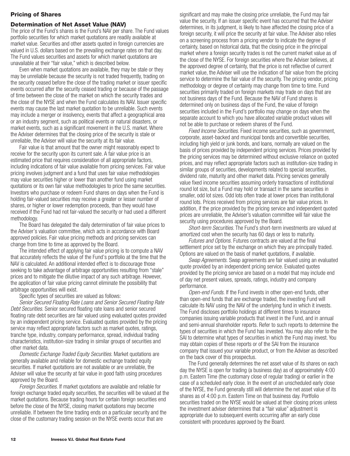### <span id="page-13-0"></span>**Pricing of Shares**

#### **Determination of Net Asset Value (NAV)**

The price of the Fund's shares is the Fund's NAV per share. The Fund values portfolio securities for which market quotations are readily available at market value. Securities and other assets quoted in foreign currencies are valued in U.S. dollars based on the prevailing exchange rates on that day. The Fund values securities and assets for which market quotations are unavailable at their "fair value," which is described below.

Even when market quotations are available, they may be stale or they may be unreliable because the security is not traded frequently, trading on the security ceased before the close of the trading market or issuer specific events occurred after the security ceased trading or because of the passage of time between the close of the market on which the security trades and the close of the NYSE and when the Fund calculates its NAV. Issuer specific events may cause the last market quotation to be unreliable. Such events may include a merger or insolvency, events that affect a geographical area or an industry segment, such as political events or natural disasters, or market events, such as a significant movement in the U.S. market. Where the Adviser determines that the closing price of the security is stale or unreliable, the Adviser will value the security at its fair value.

Fair value is that amount that the owner might reasonably expect to receive for the security upon its current sale. A fair value price is an estimated price that requires consideration of all appropriate factors, including indications of fair value available from pricing services. Fair value pricing involves judgment and a fund that uses fair value methodologies may value securities higher or lower than another fund using market quotations or its own fair value methodologies to price the same securities. Investors who purchase or redeem Fund shares on days when the Fund is holding fair-valued securities may receive a greater or lesser number of shares, or higher or lower redemption proceeds, than they would have received if the Fund had not fair-valued the security or had used a different methodology.

The Board has delegated the daily determination of fair value prices to the Adviser's valuation committee, which acts in accordance with Board approved policies. Fair value pricing methods and pricing services can change from time to time as approved by the Board.

The intended effect of applying fair value pricing is to compute a NAV that accurately reflects the value of the Fund's portfolio at the time that the NAV is calculated. An additional intended effect is to discourage those seeking to take advantage of arbitrage opportunities resulting from "stale" prices and to mitigate the dilutive impact of any such arbitrage. However, the application of fair value pricing cannot eliminate the possibility that arbitrage opportunities will exist.

Specific types of securities are valued as follows:

*Senior Secured Floating Rate Loans and Senior Secured Floating Rate Debt Securities.* Senior secured floating rate loans and senior secured floating rate debt securities are fair valued using evaluated quotes provided by an independent pricing service. Evaluated quotes provided by the pricing service may reflect appropriate factors such as market quotes, ratings, tranche type, industry, company performance, spread, individual trading characteristics, institution-size trading in similar groups of securities and other market data.

*Domestic Exchange Traded Equity Securities.* Market quotations are generally available and reliable for domestic exchange traded equity securities. If market quotations are not available or are unreliable, the Adviser will value the security at fair value in good faith using procedures approved by the Board.

*Foreign Securities.* If market quotations are available and reliable for foreign exchange traded equity securities, the securities will be valued at the market quotations. Because trading hours for certain foreign securities end before the close of the NYSE, closing market quotations may become unreliable. If between the time trading ends on a particular security and the close of the customary trading session on the NYSE events occur that are

significant and may make the closing price unreliable, the Fund may fair value the security. If an issuer specific event has occurred that the Adviser determines, in its judgment, is likely to have affected the closing price of a foreign security, it will price the security at fair value. The Adviser also relies on a screening process from a pricing vendor to indicate the degree of certainty, based on historical data, that the closing price in the principal market where a foreign security trades is not the current market value as of the close of the NYSE. For foreign securities where the Adviser believes, at the approved degree of certainty, that the price is not reflective of current market value, the Adviser will use the indication of fair value from the pricing service to determine the fair value of the security. The pricing vendor, pricing methodology or degree of certainty may change from time to time. Fund securities primarily traded on foreign markets may trade on days that are not business days of the Fund. Because the NAV of Fund shares is determined only on business days of the Fund, the value of foreign securities included in the Fund's portfolio may change on days when the separate account to which you have allocated variable product values will not be able to purchase or redeem shares of the Fund.

*Fixed Income Securities.* Fixed income securities, such as government, corporate, asset-backed and municipal bonds and convertible securities, including high yield or junk bonds, and loans, normally are valued on the basis of prices provided by independent pricing services. Prices provided by the pricing services may be determined without exclusive reliance on quoted prices, and may reflect appropriate factors such as institution-size trading in similar groups of securities, developments related to special securities, dividend rate, maturity and other market data. Pricing services generally value fixed income securities assuming orderly transactions of institutional round lot size, but a Fund may hold or transact in the same securities in smaller, odd lot sizes. Odd lots often trade at lower prices than institutional round lots. Prices received from pricing services are fair value prices. In addition, if the price provided by the pricing service and independent quoted prices are unreliable, the Adviser's valuation committee will fair value the security using procedures approved by the Board.

*Short-term Securities.* The Fund's short-term investments are valued at amortized cost when the security has 60 days or less to maturity.

*Futures and Options.* Futures contracts are valued at the final settlement price set by the exchange on which they are principally traded. Options are valued on the basis of market quotations, if available.

*Swap Agreements.* Swap agreements are fair valued using an evaluated quote provided by an independent pricing service. Evaluated quotes provided by the pricing service are based on a model that may include end of day net present values, spreads, ratings, industry and company performance.

*Open-end Funds.* If the Fund invests in other open-end funds, other than open-end funds that are exchange traded, the investing Fund will calculate its NAV using the NAV of the underlying fund in which it invests. The Fund discloses portfolio holdings at different times to insurance companies issuing variable products that invest in the Fund, and in annual and semi-annual shareholder reports. Refer to such reports to determine the types of securities in which the Fund has invested. You may also refer to the SAI to determine what types of securities in which the Fund may invest. You may obtain copies of these reports or of the SAI from the insurance company that issued your variable product, or from the Adviser as described on the back cover of this prospectus.

The Fund generally determines the net asset value of its shares on each day the NYSE is open for trading (a business day) as of approximately 4:00 p.m. Eastern Time (the customary close of regular trading) or earlier in the case of a scheduled early close. In the event of an unscheduled early close of the NYSE, the Fund generally still will determine the net asset value of its shares as of 4:00 p.m. Eastern Time on that business day. Portfolio securities traded on the NYSE would be valued at their closing prices unless the investment adviser determines that a "fair value" adjustment is appropriate due to subsequent events occurring after an early close consistent with procedures approved by the Board.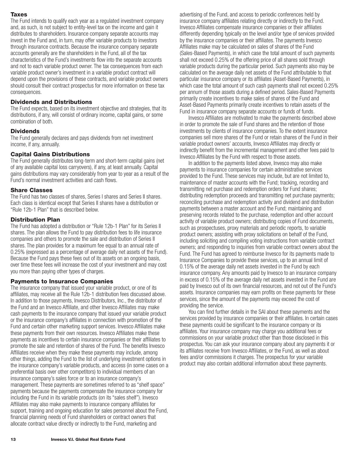### <span id="page-14-0"></span>**Taxes**

The Fund intends to qualify each year as a regulated investment company and, as such, is not subject to entity-level tax on the income and gain it distributes to shareholders. Insurance company separate accounts may invest in the Fund and, in turn, may offer variable products to investors through insurance contracts. Because the insurance company separate accounts generally are the shareholders in the Fund, all of the tax characteristics of the Fund's investments flow into the separate accounts and not to each variable product owner. The tax consequences from each variable product owner's investment in a variable product contract will depend upon the provisions of these contracts, and variable product owners should consult their contract prospectus for more information on these tax consequences.

### **Dividends and Distributions**

The Fund expects, based on its investment objective and strategies, that its distributions, if any, will consist of ordinary income, capital gains, or some combination of both.

### **Dividends**

The Fund generally declares and pays dividends from net investment income, if any, annually.

### **Capital Gains Distributions**

The Fund generally distributes long-term and short-term capital gains (net of any available capital loss carryovers), if any, at least annually. Capital gains distributions may vary considerably from year to year as a result of the Fund's normal investment activities and cash flows.

### **Share Classes**

The Fund has two classes of shares, Series I shares and Series II shares. Each class is identical except that Series II shares have a distribution or "Rule 12b-1 Plan" that is described below.

### **Distribution Plan**

The Fund has adopted a distribution or "Rule 12b-1 Plan" for its Series II shares. The plan allows the Fund to pay distribution fees to life insurance companies and others to promote the sale and distribution of Series II shares. The plan provides for a maximum fee equal to an annual rate of 0.25% (expressed as a percentage of average daily net assets of the Fund). Because the Fund pays these fees out of its assets on an ongoing basis, over time these fees will increase the cost of your investment and may cost you more than paying other types of charges.

### **Payments to Insurance Companies**

The insurance company that issued your variable product, or one of its affiliates, may receive all the Rule 12b-1 distribution fees discussed above. In addition to those payments, Invesco Distributors, Inc., the distributor of the Fund and an Invesco Affiliate, and other Invesco Affiliates may make cash payments to the insurance company that issued your variable product or the insurance company's affiliates in connection with promotion of the Fund and certain other marketing support services. Invesco Affiliates make these payments from their own resources. Invesco Affiliates make these payments as incentives to certain insurance companies or their affiliates to promote the sale and retention of shares of the Fund. The benefits Invesco Affiliates receive when they make these payments may include, among other things, adding the Fund to the list of underlying investment options in the insurance company's variable products, and access (in some cases on a preferential basis over other competitors) to individual members of an insurance company's sales force or to an insurance company's management. These payments are sometimes referred to as "shelf space" payments because the payments compensate the insurance company for including the Fund in its variable products (on its "sales shelf"). Invesco Affiliates may also make payments to insurance company affiliates for support, training and ongoing education for sales personnel about the Fund, financial planning needs of Fund shareholders or contract owners that allocate contract value directly or indirectly to the Fund, marketing and

advertising of the Fund, and access to periodic conferences held by insurance company affiliates relating directly or indirectly to the Fund. Invesco Affiliates compensate insurance companies or their affiliates differently depending typically on the level and/or type of services provided by the insurance companies or their affiliates. The payments Invesco Affiliates make may be calculated on sales of shares of the Fund (Sales-Based Payments), in which case the total amount of such payments shall not exceed 0.25% of the offering price of all shares sold through variable products during the particular period. Such payments also may be calculated on the average daily net assets of the Fund attributable to that particular insurance company or its affiliates (Asset-Based Payments), in which case the total amount of such cash payments shall not exceed 0.25% per annum of those assets during a defined period. Sales-Based Payments primarily create incentives to make sales of shares of the Fund and Asset-Based Payments primarily create incentives to retain assets of the Fund in insurance company separate accounts or funds of funds.

Invesco Affiliates are motivated to make the payments described above in order to promote the sale of Fund shares and the retention of those investments by clients of insurance companies. To the extent insurance companies sell more shares of the Fund or retain shares of the Fund in their variable product owners' accounts, Invesco Affiliates may directly or indirectly benefit from the incremental management and other fees paid to Invesco Affiliates by the Fund with respect to those assets.

In addition to the payments listed above, Invesco may also make payments to insurance companies for certain administrative services provided to the Fund. These services may include, but are not limited to, maintenance of master accounts with the Fund; tracking, recording and transmitting net purchase and redemption orders for Fund shares; distributing redemption proceeds and transmitting net purchase payments; reconciling purchase and redemption activity and dividend and distribution payments between a master account and the Fund; maintaining and preserving records related to the purchase, redemption and other account activity of variable product owners; distributing copies of Fund documents, such as prospectuses, proxy materials and periodic reports, to variable product owners; assisting with proxy solicitations on behalf of the Fund, including soliciting and compiling voting instructions from variable contract owners; and responding to inquiries from variable contract owners about the Fund. The Fund has agreed to reimburse Invesco for its payments made to Insurance Companies to provide these services, up to an annual limit of 0.15% of the average daily net assets invested in the Fund by each insurance company. Any amounts paid by Invesco to an insurance company in excess of 0.15% of the average daily net assets invested in the Fund are paid by Invesco out of its own financial resources, and not out of the Fund's assets. Insurance companies may earn profits on these payments for these services, since the amount of the payments may exceed the cost of providing the service.

You can find further details in the SAI about these payments and the services provided by insurance companies or their affiliates. In certain cases these payments could be significant to the insurance company or its affiliates. Your insurance company may charge you additional fees or commissions on your variable product other than those disclosed in this prospectus. You can ask your insurance company about any payments it or its affiliates receive from Invesco Affiliates, or the Fund, as well as about fees and/or commissions it charges. The prospectus for your variable product may also contain additional information about these payments.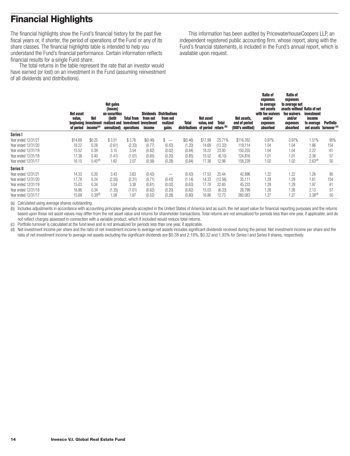# <span id="page-15-0"></span>**Financial Highlights**

The financial highlights show the Fund's financial history for the past five fiscal years or, if shorter, the period of operations of the Fund or any of its share classes. The financial highlights table is intended to help you understand the Fund's financial performance. Certain information reflects financial results for a single Fund share.

The total returns in the table represent the rate that an investor would have earned (or lost) on an investment in the Fund (assuming reinvestment of all dividends and distributions).

This information has been audited by PricewaterhouseCoopers LLP, an independent registered public accounting firm, whose report, along with the Fund's financial statements, is included in the Fund's annual report, which is available upon request.

|                     | <b>Net asset</b><br>value,<br>of period | Net<br>income <sup>(a)</sup> | Net gains<br>(losses)<br>on securities<br>(both<br>beginning investment realized and investment investment<br>unrealized) operations | <b>Total from</b> | from net<br>income | <b>Dividends Distributions</b><br>from net<br>realized<br>gains | Total<br>distributions of period return (b) | Net asset<br>value, end | <b>Total</b> | Net assets,<br>end of period<br>(000's omitted) | <b>Ratio of</b><br>expenses<br>to average<br>net assets<br>with fee waivers<br>and/or<br>expenses<br>absorbed | <b>Ratio of</b><br>expenses<br>to average net<br>assets without Ratio of net<br>fee waivers<br>and/or<br>expenses<br>absorbed | investment<br>income<br>to average<br>net assets turnover (c) | <b>Portfolio</b> |
|---------------------|-----------------------------------------|------------------------------|--------------------------------------------------------------------------------------------------------------------------------------|-------------------|--------------------|-----------------------------------------------------------------|---------------------------------------------|-------------------------|--------------|-------------------------------------------------|---------------------------------------------------------------------------------------------------------------|-------------------------------------------------------------------------------------------------------------------------------|---------------------------------------------------------------|------------------|
| Series I            |                                         |                              |                                                                                                                                      |                   |                    |                                                                 |                                             |                         |              |                                                 |                                                                                                               |                                                                                                                               |                                                               |                  |
| Year ended 12/31/21 | \$14.69                                 | \$0.25                       | \$3.51                                                                                                                               | \$3.76            | \$(0.46)           | P<br>$\hspace{1.0cm} \overline{\phantom{0}}$                    | \$(0.46)                                    | \$17.99                 | 25.71%       | \$116,762                                       | 0.97%                                                                                                         | 0.97%                                                                                                                         | 1.51%                                                         | 95%              |
| Year ended 12/31/20 | 18.22                                   | 0.28                         | (2.61)                                                                                                                               | (2.33)            | (0.77)             | (0.43)                                                          | (1.20)                                      | 14.69                   | (12.32)      | 119,114                                         | 1.04                                                                                                          | 1.04                                                                                                                          | 1.86                                                          | 154              |
| Year ended 12/31/19 | 15.52                                   | 0.39                         | 3.15                                                                                                                                 | 3.54              | (0.82)             | (0.02)                                                          | (0.84)                                      | 18.22                   | 23.00        | 150,255                                         | 1.04                                                                                                          | 1.04                                                                                                                          | 2.22                                                          | 61               |
| Year ended 12/31/18 | 17.38                                   | 0.40                         | (1.41)                                                                                                                               | (1.01)            | (0.65)             | (0.20)                                                          | (0.85)                                      | 15.52                   | (6.10)       | 124,816                                         | 1.01                                                                                                          | 1.01                                                                                                                          | 2.38                                                          | 57               |
| Year ended 12/31/17 | 16.15                                   | 0.45 <sup>(d)</sup>          | 1.62                                                                                                                                 | 2.07              | (0.56)             | (0.28)                                                          | (0.84)                                      | 17.38                   | 12.98        | 158.229                                         | 1.02                                                                                                          | 1.02                                                                                                                          | 2.63 <sup>(d)</sup>                                           | 50               |
| <b>Series II</b>    |                                         |                              |                                                                                                                                      |                   |                    |                                                                 |                                             |                         |              |                                                 |                                                                                                               |                                                                                                                               |                                                               |                  |
| Year ended 12/31/21 | 14.33                                   | 0.20                         | 3.43                                                                                                                                 | 3.63              | (0.43)             | –                                                               | (0.43)                                      | 17.53                   | 25.44        | 42,896                                          | 1.22                                                                                                          | 1.22                                                                                                                          | 1.26                                                          | 95               |
| Year ended 12/31/20 | 17.78                                   | 0.24                         | (2.55)                                                                                                                               | (2.31)            | (0.71)             | (0.43)                                                          | (1.14)                                      | 14.33                   | (12.56)      | 35,111                                          | 1.29                                                                                                          | 1.29                                                                                                                          | 1.61                                                          | 154              |
| Year ended 12/31/19 | 15.03                                   | 0.34                         | 3.04                                                                                                                                 | 3.38              | (0.61)             | (0.02)                                                          | (0.63)                                      | 17.78                   | 22.65        | 45.233                                          | 1.29                                                                                                          | 1.29                                                                                                                          | 1.97                                                          | 61               |
| Year ended 12/31/18 | 16.86                                   | 0.34                         | (1.35)                                                                                                                               | (1.01)            | (0.62)             | (0.20)                                                          | (0.82)                                      | 15.03                   | (6.33)       | 26,799                                          | 1.26                                                                                                          | 1.26                                                                                                                          | 2.13                                                          | 57               |
| Year ended 12/31/17 | 15.69                                   | 0.39 <sup>(d)</sup>          | 1.58                                                                                                                                 | 1.97              | (0.52)             | (0.28)                                                          | (0.80)                                      | 16.86                   | 12.73        | 260,083                                         | 1.27                                                                                                          | 1.27                                                                                                                          | 2.38 <sup>(d)</sup>                                           | 50               |

(a) Calculated using average shares outstanding.

(b) Includes adjustments in accordance with accounting principles generally accepted in the United States of America and as such, the net asset value for financial reporting purposes and the returns based upon those net asset values may differ from the net asset value and returns for shareholder transactions. Total returns are not annualized for periods less than one year, if applicable, and do not reflect charges assessed in connection with a variable product, which if included would reduce total returns.

(c) Portfolio turnover is calculated at the fund level and is not annualized for periods less than one year, if applicable.

(d) Net investment income per share and the ratio of net investment income to average net assets includes significant dividends received during the period. Net investment income per share and the ratio of net investment income to average net assets excluding the significant dividends are \$0.38 and 2.18%, \$0.32 and 1.93% for Series I and Series II shares, respectively.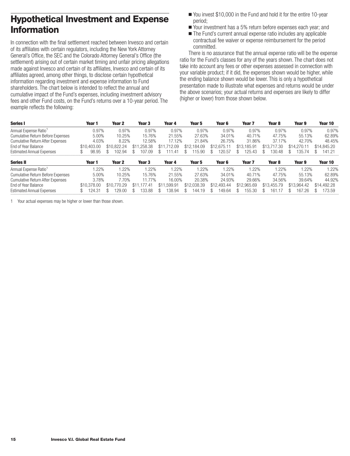# <span id="page-16-0"></span>**Hypothetical Investment and Expense Information**

In connection with the final settlement reached between Invesco and certain of its affiliates with certain regulators, including the New York Attorney General's Office, the SEC and the Colorado Attorney General's Office (the settlement) arising out of certain market timing and unfair pricing allegations made against Invesco and certain of its affiliates, Invesco and certain of its affiliates agreed, among other things, to disclose certain hypothetical information regarding investment and expense information to Fund shareholders. The chart below is intended to reflect the annual and cumulative impact of the Fund's expenses, including investment advisory fees and other Fund costs, on the Fund's returns over a 10-year period. The example reflects the following:

- You invest \$10,000 in the Fund and hold it for the entire 10-year period;
- Your investment has a 5% return before expenses each year; and
- The Fund's current annual expense ratio includes any applicable contractual fee waiver or expense reimbursement for the period committed.

There is no assurance that the annual expense ratio will be the expense ratio for the Fund's classes for any of the years shown. The chart does not take into account any fees or other expenses assessed in connection with your variable product; if it did, the expenses shown would be higher, while the ending balance shown would be lower. This is only a hypothetical presentation made to illustrate what expenses and returns would be under the above scenarios; your actual returns and expenses are likely to differ (higher or lower) from those shown below.

| <b>Series I</b>                          | Year 1      | Year 2      | Year 3          | Year 4          | Year 5      | Year 6      | Year 7            | Year 8          | Year 9      | Year 10     |
|------------------------------------------|-------------|-------------|-----------------|-----------------|-------------|-------------|-------------------|-----------------|-------------|-------------|
| Annual Expense Ratio <sup>1</sup>        | 0.97%       | 0.97%       | 0.97%           | 0.97%           | 0.97%       | 0.97%       | 0.97%             | 0.97%           | 0.97%       | 0.97%       |
| <b>Cumulative Return Before Expenses</b> | 5.00%       | 10.25%      | 15.76%          | 21.55%          | 27.63%      | 34.01%      | 40.71%            | 47.75%          | 55.13%      | 62.89%      |
| <b>Cumulative Return After Expenses</b>  | 4.03%       | 8.22%       | 12.58%          | 17.12%          | 21.84%      | 26.75%      | 31.86%            | 37.17%          | 42.70%      | 48.45%      |
| End of Year Balance                      | \$10,403,00 | \$10.822.24 | \$11.258.38     | \$11<br>.712.09 | \$12,184.09 | \$12,675.11 | \$13.185.91       | \$13,717.30     | \$14,270.11 | \$14,845.20 |
| <b>Estimated Annual Expenses</b>         | 98.95       | 102.94      | 107.09          | 111.41          | 15.90       | 20.57       | 125.43            | 130.48          | 135.74      | 141.21      |
| <b>Series II</b>                         | Year 1      | Year 2      | Year 3          | Year 4          | Year 5      | Year 6      | Year <sub>7</sub> | Year 8          | Year 9      | Year 10     |
| Annual Expense Ratio <sup>1</sup>        | $.22\%$     | 1.22%       | 1.22%           | .22%            | .22%        | .22%        | .22%              | $.22\%$         | 1.22%       | 1.22%       |
| <b>Cumulative Return Before Expenses</b> | 5.00%       | 10.25%      | 15.76%          | 21.55%          | 27.63%      | 34.01%      | 40.71%            | 47.75%          | 55.13%      | 62.89%      |
| <b>Cumulative Return After Expenses</b>  | 3.78%       | 7.70%       | 11.77%          | 16.00%          | 20.38%      | 24.93%      | 29.66%            | 34.56%          | 39.64%      | 44.92%      |
| End of Year Balance                      | \$10,378,00 | \$10,770.29 | .177.41<br>\$11 | .599.91<br>\$11 | \$12,038.39 | \$12,493,44 | \$12,965.69       | \$13,455.79     | \$13,964.42 | \$14,492.28 |
| <b>Estimated Annual Expenses</b>         | 124.31      | 29.00       | 133.88          | 138.94          | 144.19      | 149.64      | 155.30            | 16 <sup>1</sup> | 167.26      | 173.59      |

1 Your actual expenses may be higher or lower than those shown.